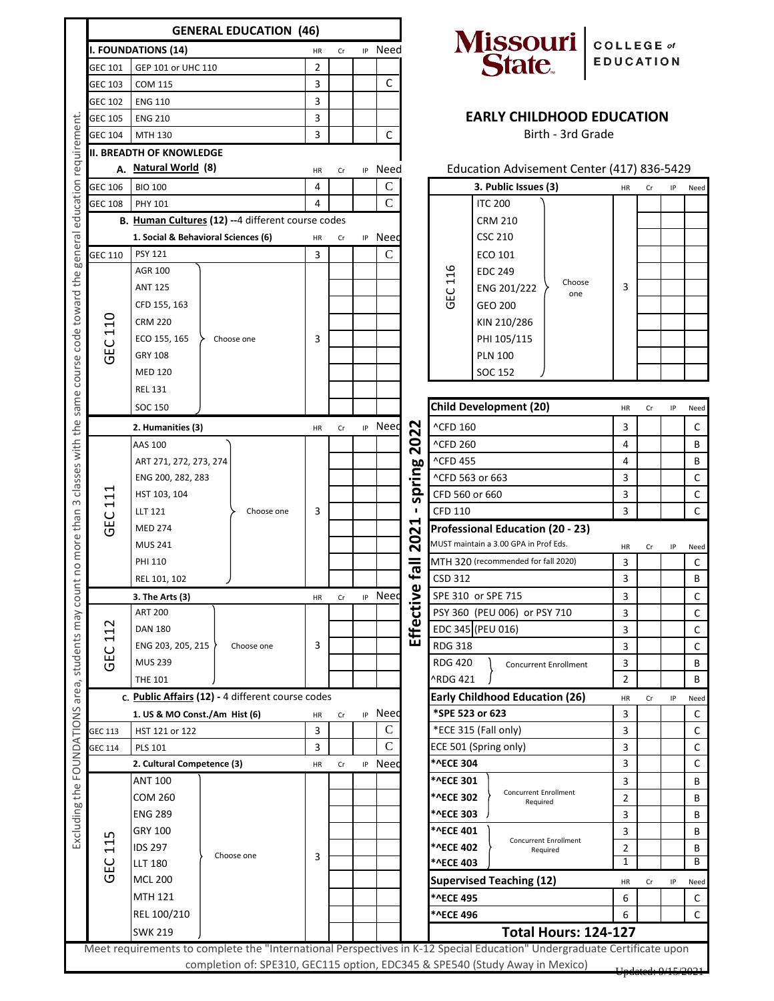|                                                                                           | <b>GENERAL EDUCATION (46)</b>                                                                                                 |                                                 |                                                   |         |         |                     |                             |                                                          |                                                                                                |                                                                                                                         |                                  |                  |      |                  |  |
|-------------------------------------------------------------------------------------------|-------------------------------------------------------------------------------------------------------------------------------|-------------------------------------------------|---------------------------------------------------|---------|---------|---------------------|-----------------------------|----------------------------------------------------------|------------------------------------------------------------------------------------------------|-------------------------------------------------------------------------------------------------------------------------|----------------------------------|------------------|------|------------------|--|
|                                                                                           | <b>I. FOUNDATIONS (14)</b>                                                                                                    |                                                 |                                                   |         | Cr      |                     | IP Need                     |                                                          |                                                                                                |                                                                                                                         | COLLEGE of                       |                  |      |                  |  |
|                                                                                           | GEC 101                                                                                                                       | GEP 101 or UHC 110                              |                                                   | 2       |         |                     |                             |                                                          | Missouri  <br>State                                                                            |                                                                                                                         |                                  | <b>EDUCATION</b> |      |                  |  |
|                                                                                           | <b>GEC 103</b>                                                                                                                | <b>COM 115</b><br><b>ENG 110</b>                |                                                   |         |         |                     | C                           |                                                          |                                                                                                |                                                                                                                         |                                  |                  |      |                  |  |
|                                                                                           | GEC 102                                                                                                                       |                                                 |                                                   |         |         |                     |                             |                                                          |                                                                                                |                                                                                                                         |                                  |                  |      |                  |  |
|                                                                                           | GEC 105<br><b>ENG 210</b>                                                                                                     |                                                 |                                                   | 3       |         |                     |                             |                                                          |                                                                                                |                                                                                                                         | <b>EARLY CHILDHOOD EDUCATION</b> |                  |      |                  |  |
| requirement                                                                               | GEC 104<br>MTH 130                                                                                                            |                                                 |                                                   | 3       |         |                     | $\mathsf C$                 |                                                          |                                                                                                | Birth - 3rd Grade                                                                                                       |                                  |                  |      |                  |  |
|                                                                                           | <b>II. BREADTH OF KNOWLEDGE</b>                                                                                               |                                                 |                                                   |         |         |                     |                             |                                                          |                                                                                                |                                                                                                                         |                                  |                  |      |                  |  |
|                                                                                           | A. Natural World (8)                                                                                                          |                                                 |                                                   |         | Cr      | IP                  | Need                        |                                                          | Education Advisement Center (417) 836-5429                                                     |                                                                                                                         |                                  |                  |      |                  |  |
|                                                                                           | GEC 106                                                                                                                       | <b>BIO 100</b>                                  |                                                   |         |         |                     | C                           |                                                          |                                                                                                | 3. Public Issues (3)                                                                                                    | HR                               | Cr               | IP   | Need             |  |
| education                                                                                 | <b>GEC 108</b><br><b>PHY 101</b><br>B. Human Cultures (12) -- 4 different course codes<br>1. Social & Behavioral Sciences (6) |                                                 |                                                   | 4       |         |                     | $\mathcal{C}$               |                                                          |                                                                                                | <b>ITC 200</b>                                                                                                          |                                  |                  |      |                  |  |
|                                                                                           |                                                                                                                               |                                                 |                                                   |         |         |                     |                             |                                                          |                                                                                                | <b>CRM 210</b>                                                                                                          |                                  |                  |      |                  |  |
| general                                                                                   |                                                                                                                               |                                                 |                                                   | HR<br>3 | Cr      | IP                  | Need                        |                                                          |                                                                                                | <b>CSC 210</b>                                                                                                          |                                  |                  |      |                  |  |
|                                                                                           | GEC 110                                                                                                                       | <b>PSY 121</b>                                  |                                                   |         |         |                     | $\mathbf C$                 |                                                          |                                                                                                | ECO 101                                                                                                                 |                                  |                  |      |                  |  |
|                                                                                           |                                                                                                                               | <b>AGR 100</b>                                  |                                                   |         |         |                     |                             |                                                          | GEC 116                                                                                        | <b>EDC 249</b><br>Choose                                                                                                |                                  |                  |      |                  |  |
|                                                                                           |                                                                                                                               | <b>ANT 125</b>                                  |                                                   |         |         |                     |                             |                                                          |                                                                                                | ENG 201/222<br>one                                                                                                      | 3                                |                  |      |                  |  |
|                                                                                           |                                                                                                                               | CFD 155, 163                                    |                                                   |         |         |                     |                             |                                                          |                                                                                                | GEO 200                                                                                                                 |                                  |                  |      |                  |  |
|                                                                                           | <b>110</b>                                                                                                                    | <b>CRM 220</b><br>ECO 155, 165                  |                                                   |         |         |                     |                             |                                                          |                                                                                                | KIN 210/286<br>PHI 105/115                                                                                              |                                  |                  |      |                  |  |
|                                                                                           | <b>GEC</b>                                                                                                                    | <b>GRY 108</b>                                  | Choose one                                        | 3       |         |                     |                             |                                                          |                                                                                                | <b>PLN 100</b>                                                                                                          |                                  |                  |      |                  |  |
|                                                                                           |                                                                                                                               | <b>MED 120</b>                                  |                                                   |         |         |                     |                             |                                                          |                                                                                                | SOC 152                                                                                                                 |                                  |                  |      |                  |  |
|                                                                                           |                                                                                                                               | <b>REL 131</b>                                  |                                                   |         |         |                     |                             |                                                          |                                                                                                |                                                                                                                         |                                  |                  |      |                  |  |
| same course code toward the                                                               |                                                                                                                               | SOC 150                                         |                                                   |         |         |                     |                             |                                                          |                                                                                                | <b>Child Development (20)</b>                                                                                           | HR                               | Cr               | IP   | Need             |  |
|                                                                                           |                                                                                                                               | 2. Humanities (3)                               |                                                   | HR      | Cr      | IP                  | Need                        | N                                                        | ^CFD 160                                                                                       |                                                                                                                         | 3                                |                  |      | C                |  |
| classes with the                                                                          |                                                                                                                               |                                                 | AAS 100<br>ART 271, 272, 273, 274                 |         |         |                     |                             | Ñ<br>$\overline{\mathbf{S}}$                             | <b>^CFD 260</b>                                                                                |                                                                                                                         | 4                                |                  |      | B                |  |
|                                                                                           |                                                                                                                               |                                                 |                                                   |         |         |                     |                             |                                                          | <b>^CFD 455</b>                                                                                |                                                                                                                         | 4                                |                  |      | В                |  |
|                                                                                           | ے<br>11<br><b>GEC</b>                                                                                                         | ENG 200, 282, 283                               |                                                   |         |         |                     |                             |                                                          | ^CFD 563 or 663                                                                                |                                                                                                                         | 3                                |                  |      | $\mathsf{C}$     |  |
|                                                                                           |                                                                                                                               | HST 103, 104                                    |                                                   |         |         |                     |                             | spring                                                   | CFD 560 or 660                                                                                 |                                                                                                                         | 3                                |                  |      | $\mathsf{C}$     |  |
| $\infty$                                                                                  |                                                                                                                               | LLT 121                                         | Choose one                                        | 3       |         |                     |                             | J.                                                       | <b>CFD 110</b>                                                                                 |                                                                                                                         | 3                                |                  |      | $\mathsf{C}$     |  |
| no more than                                                                              |                                                                                                                               | <b>MED 274</b>                                  |                                                   |         |         |                     |                             | ↤                                                        | <b>Professional Education (20 - 23)</b>                                                        |                                                                                                                         |                                  |                  |      |                  |  |
|                                                                                           |                                                                                                                               | <b>MUS 241</b>                                  |                                                   |         |         |                     |                             | 202                                                      | MUST maintain a 3.00 GPA in Prof Eds.<br>MTH 320 (recommended for fall 2020)<br><b>CSD 312</b> |                                                                                                                         | HR                               | Cr               | IP   | Need             |  |
|                                                                                           |                                                                                                                               | <b>PHI 110</b>                                  |                                                   |         |         |                     |                             | $\overline{\mathbb{I}}$ 61                               |                                                                                                |                                                                                                                         | 3                                |                  |      | C                |  |
|                                                                                           |                                                                                                                               | REL 101, 102                                    |                                                   |         |         |                     |                             |                                                          |                                                                                                |                                                                                                                         | 3                                |                  |      | B                |  |
| count                                                                                     | 3. The Arts (3)                                                                                                               | HR                                              | Cr                                                |         | IP Need | Effective           | SPE 310 or SPE 715          |                                                          |                                                                                                |                                                                                                                         |                                  | C                |      |                  |  |
|                                                                                           |                                                                                                                               | <b>ART 200</b>                                  | Choose one                                        |         |         |                     |                             |                                                          | PSY 360 (PEU 006) or PSY 710                                                                   |                                                                                                                         | 3                                |                  |      | $\mathsf{C}$     |  |
|                                                                                           | $\sim$<br>$\Xi$<br><b>GEC</b>                                                                                                 | <b>DAN 180</b>                                  |                                                   |         |         |                     |                             |                                                          | EDC 345 (PEU 016)                                                                              |                                                                                                                         | 3                                |                  |      | $\mathsf{C}$     |  |
|                                                                                           |                                                                                                                               | ENG 203, 205, 215                               |                                                   |         |         |                     |                             |                                                          | <b>RDG 318</b>                                                                                 |                                                                                                                         |                                  |                  |      | C                |  |
| students may                                                                              |                                                                                                                               | <b>MUS 239</b>                                  |                                                   |         |         |                     |                             |                                                          | <b>RDG 420</b>                                                                                 | Concurrent Enrollment                                                                                                   | 3                                |                  |      | B                |  |
| area,                                                                                     |                                                                                                                               | <b>THE 101</b>                                  | c. Public Affairs (12) - 4 different course codes |         |         |                     |                             |                                                          | <b>RDG 421</b>                                                                                 |                                                                                                                         | 2                                |                  |      | В                |  |
|                                                                                           |                                                                                                                               |                                                 |                                                   |         |         | Need                |                             | <b>Early Childhood Education (26)</b><br>*SPE 523 or 623 |                                                                                                | HR                                                                                                                      | Cr                               | IP               | Need |                  |  |
| Excluding the FOUNDATIONS                                                                 |                                                                                                                               | 1. US & MO Const./Am Hist (6)<br>HST 121 or 122 |                                                   |         |         | IP<br>Cr<br>HR<br>3 |                             |                                                          | *ECE 315 (Fall only)                                                                           |                                                                                                                         | 3<br>3                           |                  |      | C<br>$\mathsf C$ |  |
|                                                                                           | GEC 113<br><b>GEC 114</b>                                                                                                     | <b>PLS 101</b>                                  |                                                   | 3       |         |                     | $\mathbf C$<br>$\mathsf{C}$ |                                                          |                                                                                                | ECE 501 (Spring only)                                                                                                   | 3                                |                  |      | $\mathsf C$      |  |
|                                                                                           |                                                                                                                               | HR                                              | Cr                                                |         | IP Need |                     | *^ECE 304                   |                                                          | 3                                                                                              |                                                                                                                         |                                  | C                |      |                  |  |
|                                                                                           | ഗ<br>$\Xi$<br><b>GEC</b>                                                                                                      | <b>ANT 100</b>                                  | 2. Cultural Competence (3)                        |         |         |                     |                             |                                                          | *^ECE 301                                                                                      | 3                                                                                                                       |                                  |                  | B    |                  |  |
|                                                                                           |                                                                                                                               | COM 260                                         | Choose one                                        |         |         |                     |                             |                                                          | *^ECE 302                                                                                      | <b>Concurrent Enrollment</b>                                                                                            | 2                                |                  |      | В                |  |
|                                                                                           |                                                                                                                               | <b>ENG 289</b>                                  |                                                   |         |         |                     |                             |                                                          | <b>*^ECE 303</b>                                                                               | Required                                                                                                                | 3                                |                  |      | B                |  |
|                                                                                           |                                                                                                                               | GRY 100                                         |                                                   |         |         |                     |                             |                                                          | *^ECE 401                                                                                      |                                                                                                                         | 3                                |                  |      | B                |  |
|                                                                                           |                                                                                                                               | <b>IDS 297</b>                                  |                                                   |         |         |                     |                             |                                                          | *^ECE 402                                                                                      | Concurrent Enrollment<br>Required                                                                                       | 2                                |                  |      | В                |  |
|                                                                                           |                                                                                                                               | <b>LLT 180</b>                                  |                                                   | 3       |         |                     |                             |                                                          | *^ECE 403                                                                                      |                                                                                                                         | 1                                |                  |      | В                |  |
|                                                                                           |                                                                                                                               | <b>MCL 200</b>                                  |                                                   |         |         |                     |                             |                                                          |                                                                                                | <b>Supervised Teaching (12)</b>                                                                                         | HR                               | Cr               | IP   | Need             |  |
|                                                                                           |                                                                                                                               | MTH 121                                         |                                                   |         |         |                     |                             |                                                          | *^ECE 495                                                                                      |                                                                                                                         | 6                                |                  |      | С                |  |
|                                                                                           |                                                                                                                               | REL 100/210                                     |                                                   |         |         |                     |                             |                                                          | *^ECE 496                                                                                      |                                                                                                                         | 6                                |                  |      | $\mathsf C$      |  |
|                                                                                           |                                                                                                                               | <b>SWK 219</b>                                  |                                                   |         |         |                     |                             |                                                          | <b>Total Hours: 124-127</b>                                                                    |                                                                                                                         |                                  |                  |      |                  |  |
|                                                                                           |                                                                                                                               |                                                 |                                                   |         |         |                     |                             |                                                          |                                                                                                | Meet requirements to complete the "International Perspectives in K-12 Special Education" Undergraduate Certificate upon |                                  |                  |      |                  |  |
| completion of: SPE310, GEC115 option, EDC345 & SPE540 (Study Away in Mexico)<br>0/15/2021 |                                                                                                                               |                                                 |                                                   |         |         |                     |                             |                                                          |                                                                                                |                                                                                                                         |                                  |                  |      |                  |  |